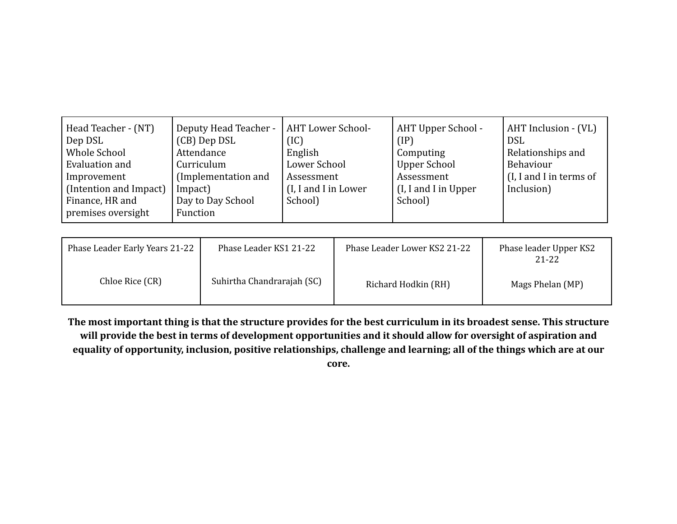| Head Teacher - (NT)    | Deputy Head Teacher - | <b>AHT Lower School-</b> | AHT Upper School -   | AHT Inclusion - (VL)    |
|------------------------|-----------------------|--------------------------|----------------------|-------------------------|
| Dep DSL                | (CB) Dep DSL          | (IC)                     | $(\text{IP})$        | <b>DSL</b>              |
| Whole School           | Attendance            | English                  | Computing            | Relationships and       |
| Evaluation and         | Curriculum            | Lower School             | <b>Upper School</b>  | Behaviour               |
| Improvement            | (Implementation and   | Assessment               | Assessment           | (I, I and I in terms of |
| (Intention and Impact) | Impact)               | (I, I and I in Lower     | (I, I and I in Upper | Inclusion)              |
| Finance, HR and        | Day to Day School     | School)                  | School)              |                         |
| premises oversight     | Function              |                          |                      |                         |

| Phase Leader Early Years 21-22 | Phase Leader KS1 21-22     | Phase Leader Lower KS2 21-22 | Phase leader Upper KS2<br>21-22 |
|--------------------------------|----------------------------|------------------------------|---------------------------------|
| Chloe Rice (CR)                | Suhirtha Chandrarajah (SC) | Richard Hodkin (RH)          | Mags Phelan (MP)                |

**The most important thing is that the structure provides for the best curriculum in its broadest sense. This structure will provide the best in terms of development opportunities and it should allow for oversight of aspiration and equality of opportunity, inclusion, positive relationships, challenge and learning; all of the things which are at our**

**core.**